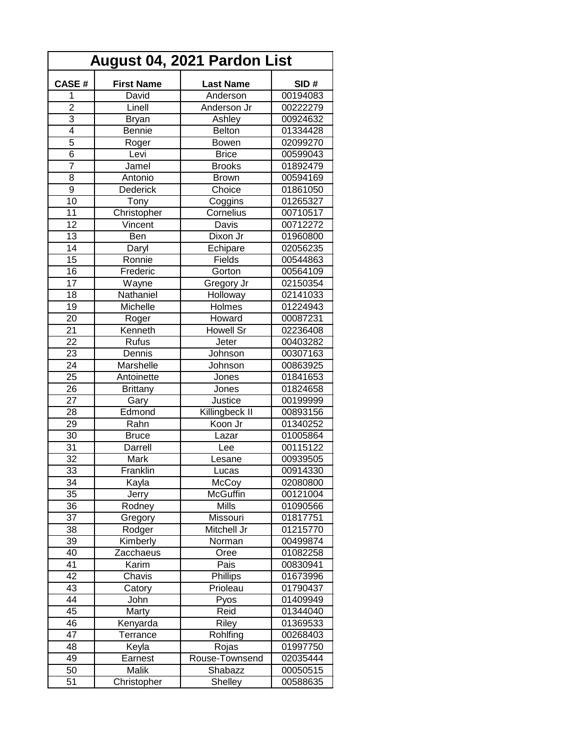| August 04, 2021 Pardon List |                   |                  |          |  |  |
|-----------------------------|-------------------|------------------|----------|--|--|
| CASE#                       | <b>First Name</b> | <b>Last Name</b> | SID#     |  |  |
| 1                           | David             | Anderson         | 00194083 |  |  |
| $\overline{2}$              | Linell            | Anderson Jr      | 00222279 |  |  |
| $\overline{3}$              | <b>Bryan</b>      | Ashley           | 00924632 |  |  |
| $\overline{4}$              | <b>Bennie</b>     | <b>Belton</b>    | 01334428 |  |  |
| $\overline{5}$              | Roger             | Bowen            | 02099270 |  |  |
| $\overline{6}$              | Levi              | <b>Brice</b>     | 00599043 |  |  |
| $\overline{7}$              | Jamel             | <b>Brooks</b>    | 01892479 |  |  |
| 8                           | Antonio           | <b>Brown</b>     | 00594169 |  |  |
| $\overline{9}$              | Dederick          | Choice           | 01861050 |  |  |
| 10                          | Tony              | Coggins          | 01265327 |  |  |
| 11                          | Christopher       | Cornelius        | 00710517 |  |  |
| 12                          | Vincent           | Davis            | 00712272 |  |  |
| 13                          |                   | Dixon Jr         | 01960800 |  |  |
|                             | Ben               |                  |          |  |  |
| 14<br>$\overline{15}$       | Daryl             | Echipare         | 02056235 |  |  |
|                             | Ronnie            | Fields           | 00544863 |  |  |
| 16                          | Frederic          | Gorton           | 00564109 |  |  |
| $\overline{17}$             | Wayne             | Gregory Jr       | 02150354 |  |  |
| 18                          | Nathaniel         | Holloway         | 02141033 |  |  |
| 19                          | Michelle          | Holmes           | 01224943 |  |  |
| 20                          | Roger             | Howard           | 00087231 |  |  |
| 21                          | Kenneth           | Howell Sr        | 02236408 |  |  |
| 22                          | Rufus             | Jeter            | 00403282 |  |  |
| 23                          | Dennis            | Johnson          | 00307163 |  |  |
| 24                          | Marshelle         | Johnson          | 00863925 |  |  |
| 25                          | Antoinette        | Jones            | 01841653 |  |  |
| 26                          | <b>Brittany</b>   | Jones            | 01824658 |  |  |
| 27                          | Gary              | Justice          | 00199999 |  |  |
| 28                          | Edmond            | Killingbeck II   | 00893156 |  |  |
| 29                          | Rahn              | Koon Jr          | 01340252 |  |  |
| 30                          | <b>Bruce</b>      | Lazar            | 01005864 |  |  |
| 31                          | Darrell           | Lee              | 00115122 |  |  |
| $\overline{32}$             | Mark              | Lesane           | 00939505 |  |  |
| $\overline{33}$             | Franklin          | Lucas            | 00914330 |  |  |
| 34                          | Kayla             | McCoy            | 02080800 |  |  |
| 35                          | Jerry             | <b>McGuffin</b>  | 00121004 |  |  |
| 36                          | Rodney            | <b>Mills</b>     | 01090566 |  |  |
| 37                          | Gregory           | Missouri         | 01817751 |  |  |
| 38                          | Rodger            | Mitchell Jr      | 01215770 |  |  |
| 39                          | Kimberly          | Norman           | 00499874 |  |  |
| 40                          | Zacchaeus         | Oree             | 01082258 |  |  |
| 41                          | Karim             | Pais             | 00830941 |  |  |
| 42                          | Chavis            | Phillips         | 01673996 |  |  |
| 43                          | Catory            | Prioleau         | 01790437 |  |  |
| 44                          | John              | Pyos             | 01409949 |  |  |
| 45                          | Marty             | Reid             | 01344040 |  |  |
| 46                          | Kenyarda          | Riley            | 01369533 |  |  |
| 47                          | Terrance          | Rohlfing         | 00268403 |  |  |
| 48                          | Keyla             | Rojas            | 01997750 |  |  |
| 49                          | Earnest           | Rouse-Townsend   | 02035444 |  |  |
| 50                          | Malik             | Shabazz          | 00050515 |  |  |
| 51                          | Christopher       | Shelley          | 00588635 |  |  |